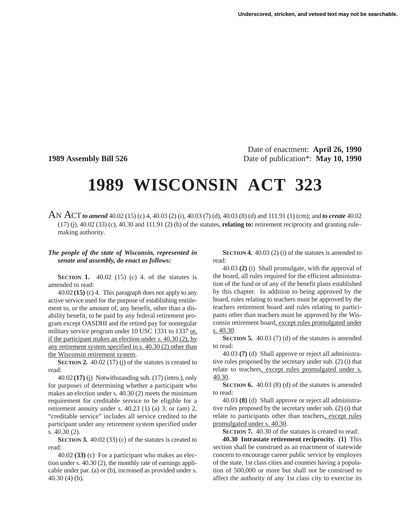Date of enactment: **April 26, 1990 1989 Assembly Bill 526** Date of publication<sup>\*</sup>: **May 10, 1990** 

## **1989 WISCONSIN ACT 323**

AN ACT *to amend* 40.02 (15) (c) 4, 40.03 (2) (i), 40.03 (7) (d), 40.03 (8) (d) and 111.91 (1) (cm); and *to create* 40.02 (17) (j), 40.02 (33) (c), 40.30 and 111.91 (2) (h) of the statutes, **relating to:** retirement reciprocity and granting rule– making authority.

## *The people of the state of Wisconsin, represented in senate and assembly, do enact as follows:*

**SECTION 1.** 40.02 (15) (c) 4. of the statutes is amended to read:

40.02 **(15)** (c) 4. This paragraph does not apply to any active service used for the purpose of establishing entitlement to, or the amount of, any benefit, other than a disability benefit, to be paid by any federal retirement program except OASDHI and the retired pay for nonregular military service program under 10 USC 1331 to 1337 or, if the participant makes an election under s. 40.30 (2), by any retirement system specified in s. 40.30 (2) other than the Wisconsin retirement system.

**SECTION 2.** 40.02 (17) (j) of the statutes is created to read:

40.02 **(17)** (j) Notwithstanding sub. (17) (intro.), only for purposes of determining whether a participant who makes an election under s. 40.30 (2) meets the minimum requirement for creditable service to be eligible for a retirement annuity under s. 40.23 (1) (a) 3. or (am) 2, "creditable service" includes all service credited to the participant under any retirement system specified under s. 40.30 (2).

**SECTION 3.** 40.02 (33) (c) of the statutes is created to read:

40.02 **(33)** (c) For a participant who makes an election under s. 40.30 (2), the monthly rate of earnings applicable under par. (a) or (b), increased as provided under s. 40.30 (4) (b).

**SECTION 4.** 40.03 (2) (i) of the statutes is amended to read:

40.03 **(2)** (i) Shall promulgate, with the approval of the board, all rules required for the efficient administration of the fund or of any of the benefit plans established by this chapter. In addition to being approved by the board, rules relating to teachers must be approved by the teachers retirement board and rules relating to participants other than teachers must be approved by the Wisconsin retirement board, except rules promulgated under s. 40.30.

**SECTION 5.** 40.03 (7) (d) of the statutes is amended to read:

40.03 **(7)** (d) Shall approve or reject all administrative rules proposed by the secretary under sub. (2) (i) that relate to teachers, except rules promulgated under s. 40.30.

**SECTION 6.** 40.03 (8) (d) of the statutes is amended to read:

40.03 **(8)** (d) Shall approve or reject all administrative rules proposed by the secretary under sub. (2) (i) that relate to participants other than teachers, except rules promulgated under s. 40.30.

**SECTION 7.** 40.30 of the statutes is created to read:

**40.30 Intrastate retirement reciprocity. (1)** This section shall be construed as an enactment of statewide concern to encourage career public service by employes of the state, 1st class cities and counties having a population of 500,000 or more but shall not be construed to affect the authority of any 1st class city to exercise its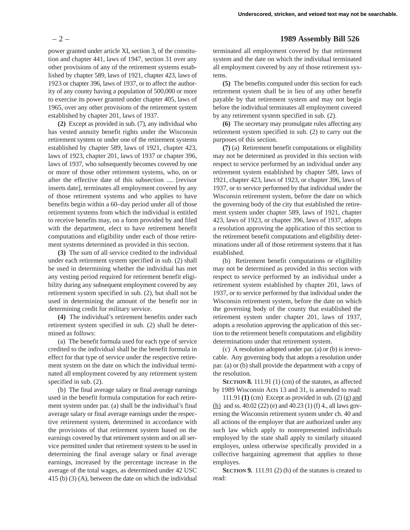power granted under article XI, section 3, of the constitution and chapter 441, laws of 1947, section 31 over any other provisions of any of the retirement systems established by chapter 589, laws of 1921, chapter 423, laws of 1923 or chapter 396, laws of 1937, or to affect the authority of any county having a population of 500,000 or more to exercise its power granted under chapter 405, laws of 1965, over any other provisions of the retirement system established by chapter 201, laws of 1937.

**(2)** Except as provided in sub. (7), any individual who has vested annuity benefit rights under the Wisconsin retirement system or under one of the retirement systems established by chapter 589, laws of 1921, chapter 423, laws of 1923, chapter 201, laws of 1937 or chapter 396, laws of 1937, who subsequently becomes covered by one or more of those other retirement systems, who, on or after the effective date of this subsection .... [revisor inserts date], terminates all employment covered by any of those retirement systems and who applies to have benefits begin within a 60–day period under all of those retirement systems from which the individual is entitled to receive benefits may, on a form provided by and filed with the department, elect to have retirement benefit computations and eligibility under each of those retirement systems determined as provided in this section.

**(3)** The sum of all service credited to the individual under each retirement system specified in sub. (2) shall be used in determining whether the individual has met any vesting period required for retirement benefit eligibility during any subsequent employment covered by any retirement system specified in sub. (2), but shall not be used in determining the amount of the benefit nor in determining credit for military service.

**(4)** The individual's retirement benefits under each retirement system specified in sub. (2) shall be determined as follows:

(a) The benefit formula used for each type of service credited to the individual shall be the benefit formula in effect for that type of service under the respective retirement system on the date on which the individual terminated all employment covered by any retirement system specified in sub. (2).

(b) The final average salary or final average earnings used in the benefit formula computation for each retirement system under par. (a) shall be the individual's final average salary or final average earnings under the respective retirement system, determined in accordance with the provisions of that retirement system based on the earnings covered by that retirement system and on all service permitted under that retirement system to be used in determining the final average salary or final average earnings, increased by the percentage increase in the average of the total wages, as determined under 42 USC 415 (b) (3) (A), between the date on which the individual

## – 2 – **1989 Assembly Bill 526**

terminated all employment covered by that retirement system and the date on which the individual terminated all employment covered by any of those retirement systems.

**(5)** The benefits computed under this section for each retirement system shall be in lieu of any other benefit payable by that retirement system and may not begin before the individual terminates all employment covered by any retirement system specified in sub. (2).

**(6)** The secretary may promulgate rules affecting any retirement system specified in sub. (2) to carry out the purposes of this section.

**(7)** (a) Retirement benefit computations or eligibility may not be determined as provided in this section with respect to service performed by an individual under any retirement system established by chapter 589, laws of 1921, chapter 423, laws of 1923, or chapter 396, laws of 1937, or to service performed by that individual under the Wisconsin retirement system, before the date on which the governing body of the city that established the retirement system under chapter 589, laws of 1921, chapter 423, laws of 1923, or chapter 396, laws of 1937, adopts a resolution approving the application of this section to the retirement benefit computations and eligibility determinations under all of those retirement systems that it has established.

(b) Retirement benefit computations or eligibility may not be determined as provided in this section with respect to service performed by an individual under a retirement system established by chapter 201, laws of 1937, or to service performed by that individual under the Wisconsin retirement system, before the date on which the governing body of the county that established the retirement system under chapter 201, laws of 1937, adopts a resolution approving the application of this section to the retirement benefit computations and eligibility determinations under that retirement system.

(c) A resolution adopted under par. (a) or (b) is irrevocable. Any governing body that adopts a resolution under par. (a) or (b) shall provide the department with a copy of the resolution.

**SECTION 8.** 111.91 (1) (cm) of the statutes, as affected by 1989 Wisconsin Acts 13 and 31, is amended to read:

111.91 **(1)** (cm) Except as provided in sub. (2) (g) and (h) and ss. 40.02 (22) (e) and 40.23 (1) (f) 4., all laws governing the Wisconsin retirement system under ch. 40 and all actions of the employer that are authorized under any such law which apply to nonrepresented individuals employed by the state shall apply to similarly situated employes, unless otherwise specifically provided in a collective bargaining agreement that applies to those employes.

**SECTION 9.** 111.91 (2) (h) of the statutes is created to read: